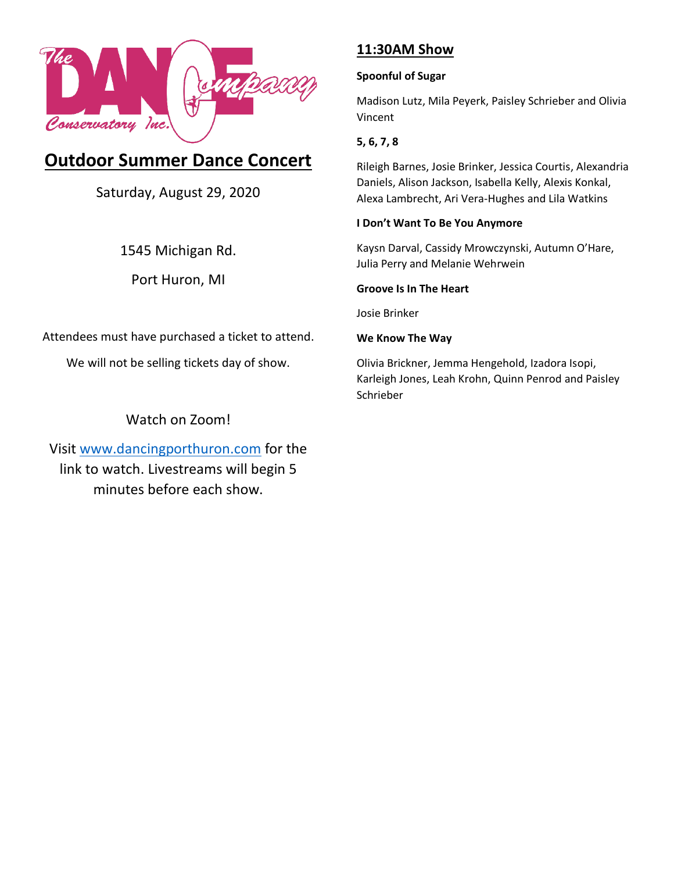

# **Outdoor Summer Dance Concert**

Saturday, August 29, 2020

1545 Michigan Rd.

Port Huron, MI

Attendees must have purchased a ticket to attend.

We will not be selling tickets day of show.

## Watch on Zoom!

Visit [www.dancingporthuron.com](http://www.dancingporthuron.com/) for the link to watch. Livestreams will begin 5 minutes before each show.

## **11:30AM Show**

## **Spoonful of Sugar**

Madison Lutz, Mila Peyerk, Paisley Schrieber and Olivia Vincent

## **5, 6, 7, 8**

Rileigh Barnes, Josie Brinker, Jessica Courtis, Alexandria Daniels, Alison Jackson, Isabella Kelly, Alexis Konkal, Alexa Lambrecht, Ari Vera-Hughes and Lila Watkins

### **I Don't Want To Be You Anymore**

Kaysn Darval, Cassidy Mrowczynski, Autumn O'Hare, Julia Perry and Melanie Wehrwein

### **Groove Is In The Heart**

Josie Brinker

### **We Know The Way**

Olivia Brickner, Jemma Hengehold, Izadora Isopi, Karleigh Jones, Leah Krohn, Quinn Penrod and Paisley Schrieber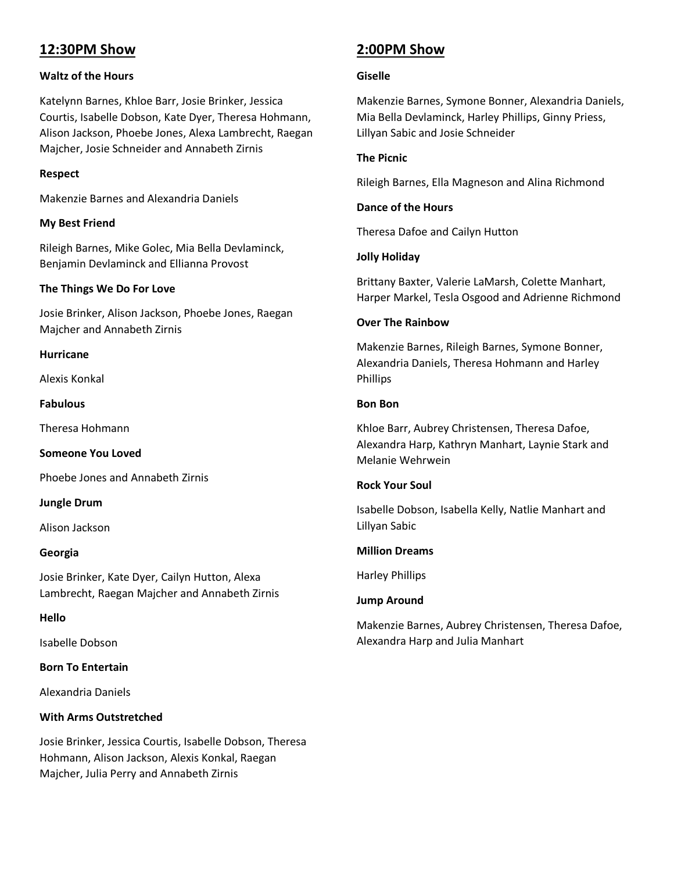## **12:30PM Show**

#### **Waltz of the Hours**

Katelynn Barnes, Khloe Barr, Josie Brinker, Jessica Courtis, Isabelle Dobson, Kate Dyer, Theresa Hohmann, Alison Jackson, Phoebe Jones, Alexa Lambrecht, Raegan Majcher, Josie Schneider and Annabeth Zirnis

#### **Respect**

Makenzie Barnes and Alexandria Daniels

#### **My Best Friend**

Rileigh Barnes, Mike Golec, Mia Bella Devlaminck, Benjamin Devlaminck and Ellianna Provost

#### **The Things We Do For Love**

Josie Brinker, Alison Jackson, Phoebe Jones, Raegan Majcher and Annabeth Zirnis

#### **Hurricane**

Alexis Konkal

**Fabulous**

Theresa Hohmann

**Someone You Loved**

Phoebe Jones and Annabeth Zirnis

**Jungle Drum**

Alison Jackson

#### **Georgia**

Josie Brinker, Kate Dyer, Cailyn Hutton, Alexa Lambrecht, Raegan Majcher and Annabeth Zirnis

#### **Hello**

Isabelle Dobson

#### **Born To Entertain**

Alexandria Daniels

#### **With Arms Outstretched**

Josie Brinker, Jessica Courtis, Isabelle Dobson, Theresa Hohmann, Alison Jackson, Alexis Konkal, Raegan Majcher, Julia Perry and Annabeth Zirnis

## **2:00PM Show**

#### **Giselle**

Makenzie Barnes, Symone Bonner, Alexandria Daniels, Mia Bella Devlaminck, Harley Phillips, Ginny Priess, Lillyan Sabic and Josie Schneider

#### **The Picnic**

Rileigh Barnes, Ella Magneson and Alina Richmond

#### **Dance of the Hours**

Theresa Dafoe and Cailyn Hutton

#### **Jolly Holiday**

Brittany Baxter, Valerie LaMarsh, Colette Manhart, Harper Markel, Tesla Osgood and Adrienne Richmond

#### **Over The Rainbow**

Makenzie Barnes, Rileigh Barnes, Symone Bonner, Alexandria Daniels, Theresa Hohmann and Harley Phillips

#### **Bon Bon**

Khloe Barr, Aubrey Christensen, Theresa Dafoe, Alexandra Harp, Kathryn Manhart, Laynie Stark and Melanie Wehrwein

#### **Rock Your Soul**

Isabelle Dobson, Isabella Kelly, Natlie Manhart and Lillyan Sabic

#### **Million Dreams**

Harley Phillips

#### **Jump Around**

Makenzie Barnes, Aubrey Christensen, Theresa Dafoe, Alexandra Harp and Julia Manhart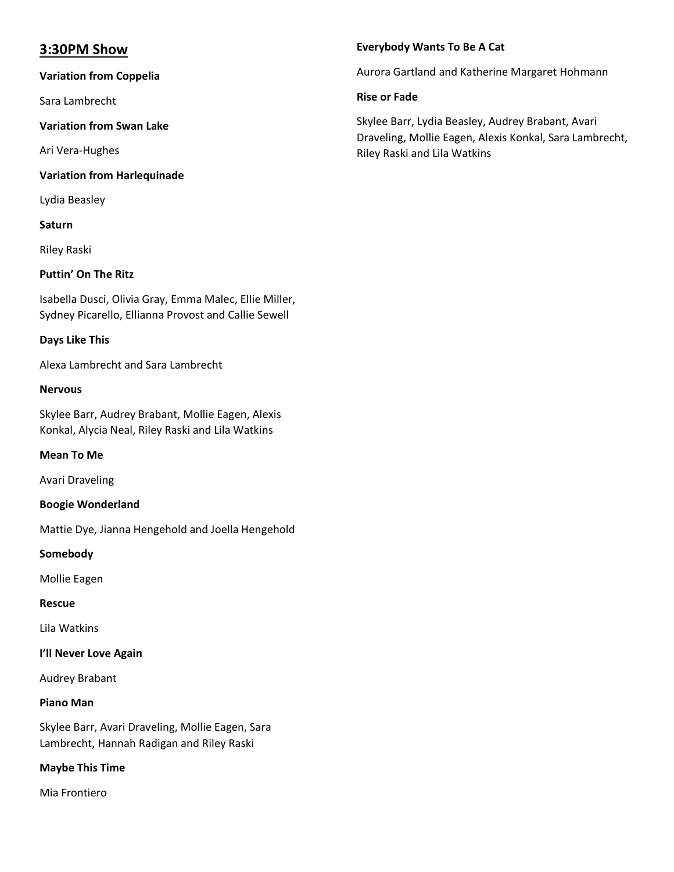## **3:30PM Show**

#### **Variation from Coppelia**

Sara Lambrecht

#### **Variation from Swan Lake**

Ari Vera-Hughes

#### **Variation from Harlequinade**

Lydia Beasley

#### **Saturn**

Riley Raski

#### **Puttin' On The Ritz**

Isabella Dusci, Olivia Gray, Emma Malec, Ellie Miller, Sydney Picarello, Ellianna Provost and Callie Sewell

#### **Days Like This**

Alexa Lambrecht and Sara Lambrecht

#### **Nervous**

Skylee Barr, Audrey Brabant, Mollie Eagen, Alexis Konkal, Alycia Neal, Riley Raski and Lila Watkins

#### **Mean To Me**

Avari Draveling

#### **Boogie Wonderland**

Mattie Dye, Jianna Hengehold and Joella Hengehold

#### **Somebody**

Mollie Eagen

#### **Rescue**

Lila Watkins

#### **I'll Never Love Again**

Audrey Brabant

#### **Piano Man**

Skylee Barr, Avari Draveling, Mollie Eagen, Sara Lambrecht, Hannah Radigan and Riley Raski

#### **Maybe This Time**

Mia Frontiero

#### **Everybody Wants To Be A Cat**

Aurora Gartland and Katherine Margaret Hohmann

#### **Rise or Fade**

Skylee Barr, Lydia Beasley, Audrey Brabant, Avari Draveling, Mollie Eagen, Alexis Konkal, Sara Lambrecht, Riley Raski and Lila Watkins